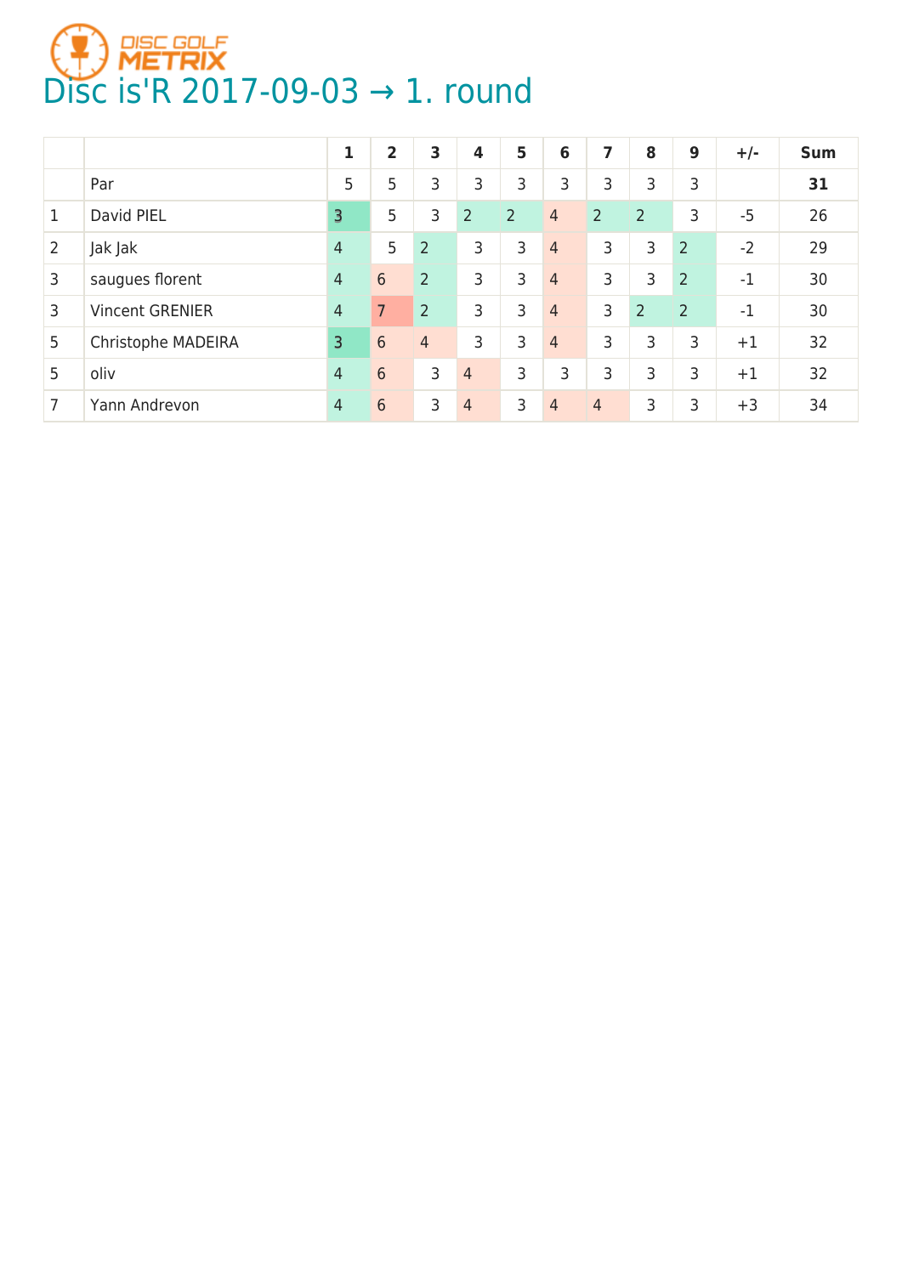

|                |                        | 1              | $\overline{2}$ | 3              | 4              | 5              | 6              | 7              | 8              | 9              | $+/-$ | <b>Sum</b> |
|----------------|------------------------|----------------|----------------|----------------|----------------|----------------|----------------|----------------|----------------|----------------|-------|------------|
|                | Par                    | 5              | 5              | 3              | 3              | 3              | 3              | 3              | 3              | 3              |       | 31         |
| 1              | David PIEL             | 3              | 5              | 3              | $\overline{2}$ | $\overline{2}$ | $\overline{4}$ | $\overline{2}$ | $\overline{2}$ | 3              | $-5$  | 26         |
| $\overline{2}$ | Jak Jak                | $\overline{4}$ | 5              | $\overline{2}$ | 3              | 3              | $\overline{4}$ | 3              | 3              | $\overline{2}$ | $-2$  | 29         |
| 3              | saugues florent        | $\overline{4}$ | 6              | 2              | 3              | 3              | $\overline{4}$ | 3              | 3              | $\overline{2}$ | $-1$  | 30         |
| 3              | <b>Vincent GRENIER</b> | $\overline{4}$ |                | $\overline{2}$ | 3              | 3              | $\overline{4}$ | 3              | $\overline{2}$ | $\overline{2}$ | $-1$  | 30         |
| 5              | Christophe MADEIRA     | 3              | 6              | $\overline{4}$ | 3              | 3              | $\overline{4}$ | 3              | 3              | 3              | $+1$  | 32         |
| 5              | oliv                   | $\overline{4}$ | 6              | 3              | 4              | 3              | 3              | 3              | 3              | 3              | $+1$  | 32         |
| 7              | Yann Andrevon          | $\overline{4}$ | 6              | 3              | 4              | 3              | 4              | 4              | 3              | 3              | $+3$  | 34         |